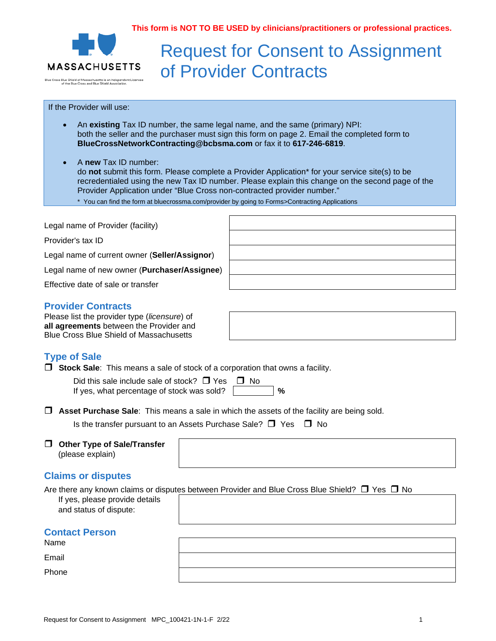**This form is NOT TO BE USED by clinicians/practitioners or professional practices.**



# Request for Consent to Assignment of Provider Contracts

## If the Provider will use:

• An **existing** Tax ID number, the same legal name, and the same (primary) NPI: both the seller and the purchaser must sign this form on page 2. Email the completed form to **BlueCrossNetworkContracting@bcbsma.com** or fax it to **617-246-6819**.

• A **new** Tax ID number: do **not** submit this form. Please complete a Provider Application\* for your service site(s) to be recredentialed using the new Tax ID number. Please explain this change on the second page of the Provider Application under "Blue Cross non-contracted provider number."

\* You can find the form at bluecrossma.com/provider by going to Forms>Contracting Applications

| Legal name of Provider (facility)             |  |
|-----------------------------------------------|--|
| Provider's tax ID                             |  |
| Legal name of current owner (Seller/Assignor) |  |
| Legal name of new owner (Purchaser/Assignee)  |  |
| Effective date of sale or transfer            |  |
|                                               |  |

## **Provider Contracts**

Please list the provider type (*licensure*) of **all agreements** between the Provider and Blue Cross Blue Shield of Massachusetts

## **Type of Sale**

**Stock Sale**: This means a sale of stock of a corporation that owns a facility.

Did this sale include sale of stock?  $\Box$  Yes  $\Box$  No If yes, what percentage of stock was sold? **%**

**Asset Purchase Sale**: This means a sale in which the assets of the facility are being sold.

Is the transfer pursuant to an Assets Purchase Sale?  $\Box$  Yes  $\Box$  No

### **Other Type of Sale/Transfer** (please explain)

## **Claims or disputes**

|                                | Are there any known claims or disputes between Provider and Blue Cross Blue Shield? $\Box$ Yes $\Box$ No |
|--------------------------------|----------------------------------------------------------------------------------------------------------|
| If yes, please provide details |                                                                                                          |

and status of dispute:

## **Contact Person**

Name

Email

Phone